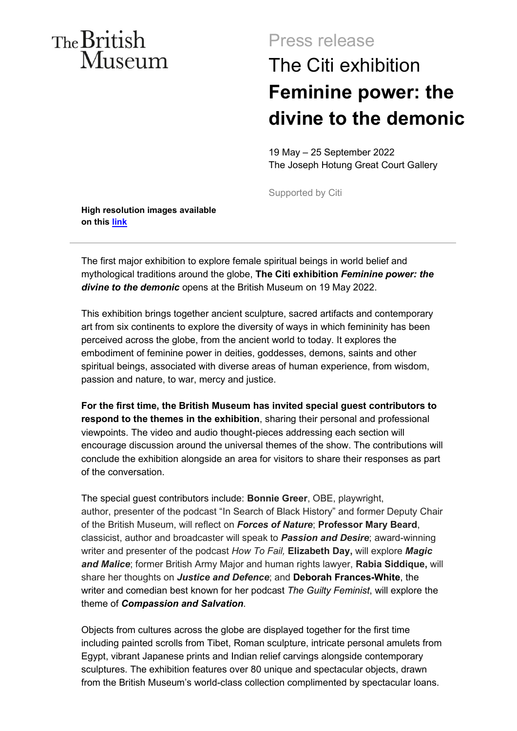## The British Museum

## Press release The Citi exhibition **Feminine power: the divine to the demonic**

19 May – 25 September 2022 The Joseph Hotung Great Court Gallery

Supported by Citi

**High resolution images available on this [link](https://www.dropbox.com/scl/fo/hf5xlpedmbnew55oz9f5l/h?dl=0&rlkey=lbp06kqqhkujfta3cojf6xvpl)**

The first major exhibition to explore female spiritual beings in world belief and mythological traditions around the globe, **The Citi exhibition** *Feminine power: the divine to the demonic* opens at the British Museum on 19 May 2022.

This exhibition brings together ancient sculpture, sacred artifacts and contemporary art from six continents to explore the diversity of ways in which femininity has been perceived across the globe, from the ancient world to today. It explores the embodiment of feminine power in deities, goddesses, demons, saints and other spiritual beings, associated with diverse areas of human experience, from wisdom, passion and nature, to war, mercy and justice.

**For the first time, the British Museum has invited special guest contributors to respond to the themes in the exhibition**, sharing their personal and professional viewpoints. The video and audio thought-pieces addressing each section will encourage discussion around the universal themes of the show. The contributions will conclude the exhibition alongside an area for visitors to share their responses as part of the conversation.

The special guest contributors include: **Bonnie Greer**, OBE, playwright, author, presenter of the podcast "In Search of Black History" and former Deputy Chair of the British Museum, will reflect on *Forces of Nature*; **Professor Mary Beard**, classicist, author and broadcaster will speak to *Passion and Desire*; award-winning writer and presenter of the podcast *How To Fail,* **Elizabeth Day,** will explore *Magic and Malice*; former British Army Major and human rights lawyer, **Rabia Siddique,** will share her thoughts on *Justice and Defence*; and **Deborah Frances-White**, the writer and comedian best known for her podcast *The Guilty Feminist*, will explore the theme of *Compassion and Salvation*.

Objects from cultures across the globe are displayed together for the first time including painted scrolls from Tibet, Roman sculpture, intricate personal amulets from Egypt, vibrant Japanese prints and Indian relief carvings alongside contemporary sculptures. The exhibition features over 80 unique and spectacular objects, drawn from the British Museum's world-class collection complimented by spectacular loans.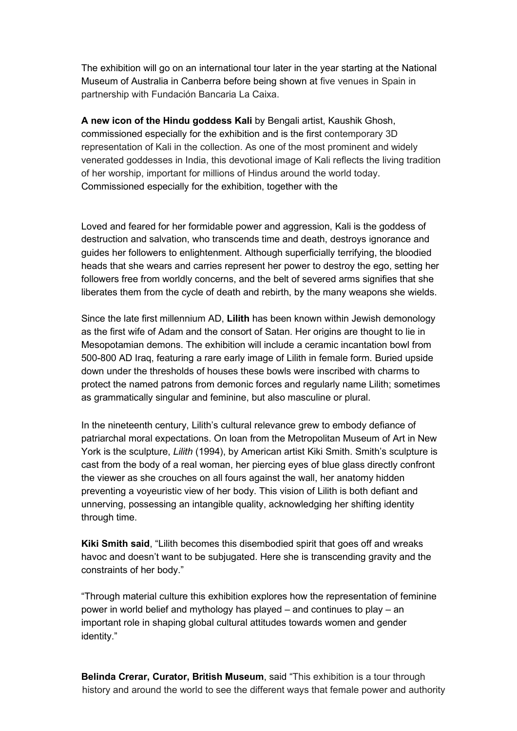The exhibition will go on an international tour later in the year starting at the National Museum of Australia in Canberra before being shown at five venues in Spain in partnership with Fundación Bancaria La Caixa.

A new icon of the Hindu goddess Kali by Bengali artist, Kaushik Ghosh, commissioned especially for the exhibition and is the first contemporary 3D representation of Kali in the collection. As one of the most prominent and widely venerated goddesses in India, this devotional image of Kali reflects the living tradition of her worship, important for millions of Hindus around the world today. Commissioned especially for the exhibition, together with the

Committee, who run the annual Kali Puja festival in Camden, in Kali's honour.

Loved and feared for her formidable power and aggression, Kali is the goddess of destruction and salvation, who transcends time and death, destroys ignorance and guides her followers to enlightenment. Although superficially terrifying, the bloodied heads that she wears and carries represent her power to destroy the ego, setting her followers free from worldly concerns, and the belt of severed arms signifies that she liberates them from the cycle of death and rebirth, by the many weapons she wields.

Since the late first millennium AD, **Lilith** has been known within Jewish demonology as the first wife of Adam and the consort of Satan. Her origins are thought to lie in Mesopotamian demons. The exhibition will include a ceramic incantation bowl from 500-800 AD Iraq, featuring a rare early image of Lilith in female form. Buried upside down under the thresholds of houses these bowls were inscribed with charms to protect the named patrons from demonic forces and regularly name Lilith; sometimes as grammatically singular and feminine, but also masculine or plural.

In the nineteenth century, Lilith's cultural relevance grew to embody defiance of patriarchal moral expectations. On loan from the Metropolitan Museum of Art in New York is the sculpture, *Lilith* (1994), by American artist Kiki Smith. Smith's sculpture is cast from the body of a real woman, her piercing eyes of blue glass directly confront the viewer as she crouches on all fours against the wall, her anatomy hidden preventing a voyeuristic view of her body. This vision of Lilith is both defiant and unnerving, possessing an intangible quality, acknowledging her shifting identity through time.

**Kiki Smith said**, "Lilith becomes this disembodied spirit that goes off and wreaks havoc and doesn't want to be subjugated. Here she is transcending gravity and the constraints of her body."

"Through material culture this exhibition explores how the representation of feminine power in world belief and mythology has played – and continues to play – an important role in shaping global cultural attitudes towards women and gender identity."

**Belinda Crerar, Curator, British Museum**, said "This exhibition is a tour through history and around the world to see the different ways that female power and authority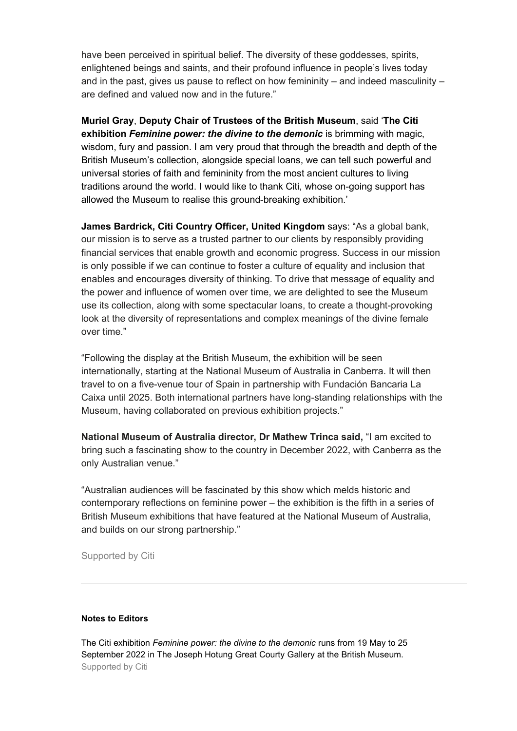have been perceived in spiritual belief. The diversity of these goddesses, spirits, enlightened beings and saints, and their profound influence in people's lives today and in the past, gives us pause to reflect on how femininity – and indeed masculinity – are defined and valued now and in the future."

**Muriel Gray**, **Deputy Chair of Trustees of the British Museum**, said '**The Citi exhibition** *Feminine power: the divine to the demonic* is brimming with magic, wisdom, fury and passion. I am very proud that through the breadth and depth of the British Museum's collection, alongside special loans, we can tell such powerful and universal stories of faith and femininity from the most ancient cultures to living traditions around the world. I would like to thank Citi, whose on-going support has allowed the Museum to realise this ground-breaking exhibition.'

**James Bardrick, Citi Country Officer, United Kingdom** says: "As a global bank, our mission is to serve as a trusted partner to our clients by responsibly providing financial services that enable growth and economic progress. Success in our mission is only possible if we can continue to foster a culture of equality and inclusion that enables and encourages diversity of thinking. To drive that message of equality and the power and influence of women over time, we are delighted to see the Museum use its collection, along with some spectacular loans, to create a thought-provoking look at the diversity of representations and complex meanings of the divine female over time."

"Following the display at the British Museum, the exhibition will be seen internationally, starting at the National Museum of Australia in Canberra. It will then travel to on a five-venue tour of Spain in partnership with Fundación Bancaria La Caixa until 2025. Both international partners have long-standing relationships with the Museum, having collaborated on previous exhibition projects."

**National Museum of Australia director, Dr Mathew Trinca said,** "I am excited to bring such a fascinating show to the country in December 2022, with Canberra as the only Australian venue."

"Australian audiences will be fascinated by this show which melds historic and contemporary reflections on feminine power – the exhibition is the fifth in a series of British Museum exhibitions that have featured at the National Museum of Australia, and builds on our strong partnership."

Supported by Citi

## **Notes to Editors**

The Citi exhibition *Feminine power: the divine to the demonic* runs from 19 May to 25 September 2022 in The Joseph Hotung Great Courty Gallery at the British Museum. Supported by Citi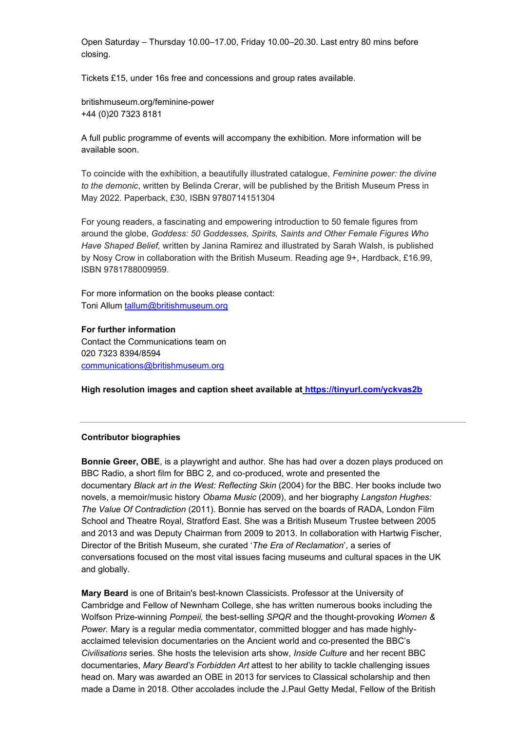Open Saturday – Thursday 10.00–17.00, Friday 10.00–20.30. Last entry 80 mins before closing.

Tickets £15, under 16s free and concessions and group rates available.

britishmuseum.org/feminine-power +44 (0)20 7323 8181

A full public programme of events will accompany the exhibition. More information will be available soon.

To coincide with the exhibition, a beautifully illustrated catalogue, *Feminine power: the divine to the demonic*, written by Belinda Crerar, will be published by the British Museum Press in May 2022. Paperback, £30, ISBN 9780714151304

For young readers, a fascinating and empowering introduction to 50 female figures from around the globe, *Goddess: 50 Goddesses, Spirits, Saints and Other Female Figures Who Have Shaped Belief,* written by Janina Ramirez and illustrated by Sarah Walsh, is published by Nosy Crow in collaboration with the British Museum. Reading age 9+, Hardback, £16.99, ISBN 9781788009959.

For more information on the books please contact: Toni Allum [tallum@britishmuseum.org](mailto:tallum@britishmuseum.org) 

**For further information**  Contact the Communications team on 020 7323 8394/8594 [communications@britishmuseum.org](mailto:communications@britishmuseum.org) 

**High resolution images and caption sheet available at https://tinyurl.com/yckvas2b**

## **Contributor biographies**

**Bonnie Greer, OBE**, is a playwright and author. She has had over a dozen plays produced on BBC Radio, a short film for BBC 2, and co-produced, wrote and presented the documentary *Black art in the West: Reflecting Skin* (2004) for the BBC. Her books include two novels, a memoir/music history *Obama Music* (2009), and her biography *Langston Hughes: The Value Of Contradiction* (2011). Bonnie has served on the boards of RADA, London Film School and Theatre Royal, Stratford East. She was a British Museum Trustee between 2005 and 2013 and was Deputy Chairman from 2009 to 2013. In collaboration with Hartwig Fischer, Director of the British Museum, she curated '*The Era of Reclamation*', a series of conversations focused on the most vital issues facing museums and cultural spaces in the UK and globally.

**Mary Beard** is one of Britain's best-known Classicists. Professor at the University of Cambridge and Fellow of Newnham College, she has written numerous books including the Wolfson Prize-winning *Pompeii,* the best-selling *SPQR* and the thought-provoking *Women & Power.* Mary is a regular media commentator, committed blogger and has made highlyacclaimed television documentaries on the Ancient world and co-presented the BBC's *Civilisations* series. She hosts the television arts show, *Inside Culture* and her recent BBC documentaries, *Mary Beard's Forbidden Art* attest to her ability to tackle challenging issues head on. Mary was awarded an OBE in 2013 for services to Classical scholarship and then made a Dame in 2018. Other accolades include the J.Paul Getty Medal, Fellow of the British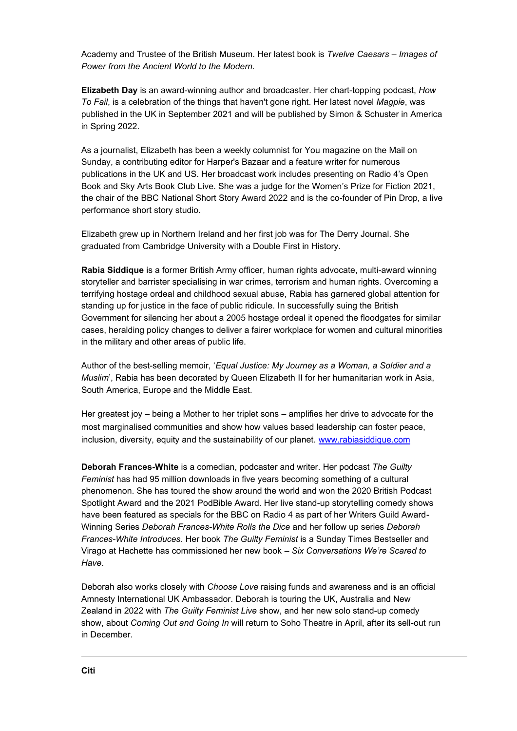Academy and Trustee of the British Museum. Her latest book is *Twelve Caesars – Images of Power from the Ancient World to the Modern.* 

**Elizabeth Day** is an award-winning author and broadcaster. Her chart-topping podcast, *[How](https://podcasts.apple.com/gb/podcast/how-to-fail-with-elizabeth-day/id1407451189)  [To Fail](https://podcasts.apple.com/gb/podcast/how-to-fail-with-elizabeth-day/id1407451189)*, is a celebration of the things that haven't gone right. Her latest novel *[Magpie](https://harpercollins.co.uk/pages/magpie-elizabeth-day)*, was published in the UK in September 2021 and will be published by Simon & Schuster in America in Spring 2022.

As a journalist, Elizabeth has been a weekly columnist for You magazine on the Mail on Sunday, a contributing editor for Harper's Bazaar and a feature writer for numerous publications in the UK and US. Her broadcast work includes presenting on [Radio 4's Open](https://www.bbc.co.uk/programmes/m000my1r)  [Book](https://www.bbc.co.uk/programmes/m000my1r) and [Sky Arts Book Club Live.](https://www.sky.com/watch/channel/sky-arts/sky-arts-book-club) She was a judge for the Women's Prize for Fiction 2021, the chair of the BBC National Short Story Award 2022 and is the co-founder of Pin Drop, a live performance short story studio.

Elizabeth grew up in Northern Ireland and her first job was for The Derry Journal. She graduated from Cambridge University with a Double First in History.

**Rabia Siddique** is a former British Army officer, human rights advocate, multi-award winning storyteller and barrister specialising in war crimes, terrorism and human rights. Overcoming a terrifying hostage ordeal and childhood sexual abuse, Rabia has garnered global attention for standing up for justice in the face of public ridicule. In successfully suing the British Government for silencing her about a 2005 hostage ordeal it opened the floodgates for similar cases, heralding policy changes to deliver a fairer workplace for women and cultural minorities in the military and other areas of public life.

Author of the best-selling memoir, '*Equal Justice: My Journey as a Woman, a Soldier and a Muslim*', Rabia has been decorated by Queen Elizabeth II for her humanitarian work in Asia, South America, Europe and the Middle East.

Her greatest joy – being a Mother to her triplet sons – amplifies her drive to advocate for the most marginalised communities and show how values based leadership can foster peace, inclusion, diversity, equity and the sustainability of our planet. [www.rabiasiddique.com](http://www.rabiasiddique.com/)

**Deborah Frances-White** is a comedian, podcaster and writer. Her podcast *The Guilty Feminist* has had 95 million downloads in five years becoming something of a cultural phenomenon. She has toured the show around the world and won the 2020 British Podcast Spotlight Award and the 2021 PodBible Award. Her live stand-up storytelling comedy shows have been featured as specials for the BBC on Radio 4 as part of her Writers Guild Award-Winning Series *Deborah Frances-White Rolls the Dice* and her follow up series *Deborah Frances-White Introduces*. Her book *The Guilty Feminist* is a Sunday Times Bestseller and Virago at Hachette has commissioned her new book – *Six Conversations We're Scared to Have*.

Deborah also works closely with *Choose Love* raising funds and awareness and is an official Amnesty International UK Ambassador. Deborah is touring the UK, Australia and New Zealand in 2022 with *The Guilty Feminist Live* show, and her new solo stand-up comedy show, about *Coming Out and Going In* will return to Soho Theatre in April, after its sell-out run in December.